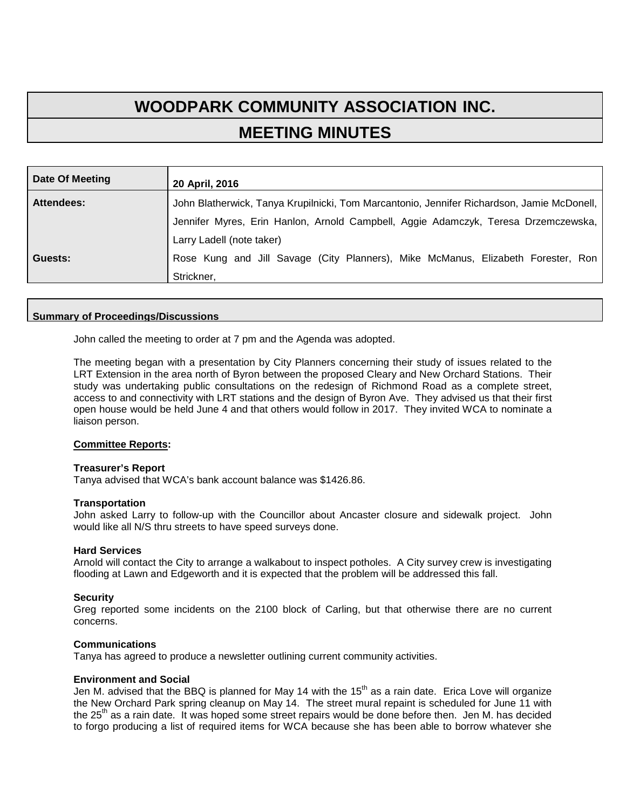# **WOODPARK COMMUNITY ASSOCIATION INC. MEETING MINUTES**

| Date Of Meeting | 20 April, 2016                                                                             |
|-----------------|--------------------------------------------------------------------------------------------|
| Attendees:      | John Blatherwick, Tanya Krupilnicki, Tom Marcantonio, Jennifer Richardson, Jamie McDonell, |
|                 | Jennifer Myres, Erin Hanlon, Arnold Campbell, Aggie Adamczyk, Teresa Drzemczewska,         |
|                 | Larry Ladell (note taker)                                                                  |
| Guests:         | Rose Kung and Jill Savage (City Planners), Mike McManus, Elizabeth Forester, Ron           |
|                 | Strickner,                                                                                 |

## **Summary of Proceedings/Discussions**

John called the meeting to order at 7 pm and the Agenda was adopted.

The meeting began with a presentation by City Planners concerning their study of issues related to the LRT Extension in the area north of Byron between the proposed Cleary and New Orchard Stations. Their study was undertaking public consultations on the redesign of Richmond Road as a complete street, access to and connectivity with LRT stations and the design of Byron Ave. They advised us that their first open house would be held June 4 and that others would follow in 2017. They invited WCA to nominate a liaison person.

#### **Committee Reports:**

#### **Treasurer's Report**

Tanya advised that WCA's bank account balance was \$1426.86.

#### **Transportation**

John asked Larry to follow-up with the Councillor about Ancaster closure and sidewalk project. John would like all N/S thru streets to have speed surveys done.

#### **Hard Services**

Arnold will contact the City to arrange a walkabout to inspect potholes. A City survey crew is investigating flooding at Lawn and Edgeworth and it is expected that the problem will be addressed this fall.

#### **Security**

Greg reported some incidents on the 2100 block of Carling, but that otherwise there are no current concerns.

#### **Communications**

Tanya has agreed to produce a newsletter outlining current community activities.

#### **Environment and Social**

Jen M. advised that the BBQ is planned for May 14 with the  $15<sup>th</sup>$  as a rain date. Erica Love will organize the New Orchard Park spring cleanup on May 14. The street mural repaint is scheduled for June 11 with the 25<sup>th</sup> as a rain date. It was hoped some street repairs would be done before then. Jen M, has decided to forgo producing a list of required items for WCA because she has been able to borrow whatever she